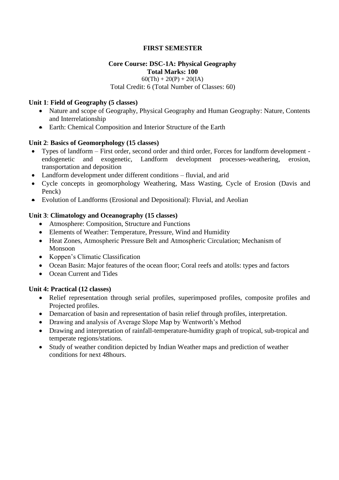# **FIRST SEMESTER**

## **Core Course: DSC-1A: Physical Geography Total Marks: 100**

 $60(Th) + 20(P) + 20(IA)$ 

Total Credit: 6 (Total Number of Classes: 60)

## **Unit 1**: **Field of Geography (5 classes)**

- Nature and scope of Geography, Physical Geography and Human Geography: Nature, Contents and Interrelationship
- Earth: Chemical Composition and Interior Structure of the Earth

## **Unit 2**: **Basics of Geomorphology (15 classes)**

- Types of landform First order, second order and third order, Forces for landform development endogenetic and exogenetic, Landform development processes-weathering, erosion, transportation and deposition
- Landform development under different conditions fluvial, and arid
- Cycle concepts in geomorphology Weathering, Mass Wasting, Cycle of Erosion (Davis and Penck)
- Evolution of Landforms (Erosional and Depositional): Fluvial, and Aeolian

## **Unit 3**: **Climatology and Oceanography (15 classes)**

- Atmosphere: Composition, Structure and Functions
- Elements of Weather: Temperature, Pressure, Wind and Humidity
- Heat Zones, Atmospheric Pressure Belt and Atmospheric Circulation; Mechanism of Monsoon
- Koppen's Climatic Classification
- Ocean Basin: Major features of the ocean floor; Coral reefs and atolls: types and factors
- Ocean Current and Tides

#### **Unit 4: Practical (12 classes)**

- Relief representation through serial profiles, superimposed profiles, composite profiles and Projected profiles.
- Demarcation of basin and representation of basin relief through profiles, interpretation.
- Drawing and analysis of Average Slope Map by Wentworth's Method
- Drawing and interpretation of rainfall-temperature-humidity graph of tropical, sub-tropical and temperate regions/stations.
- Study of weather condition depicted by Indian Weather maps and prediction of weather conditions for next 48hours.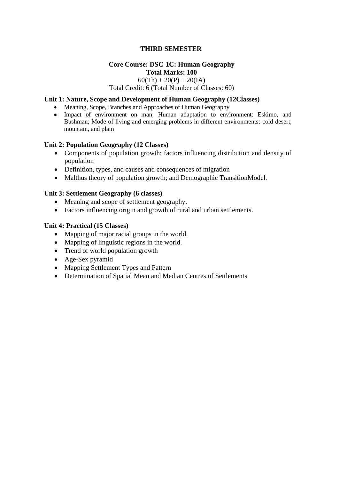## **THIRD SEMESTER**

#### **Core Course: DSC-1C: Human Geography Total Marks: 100**

# $60(Th) + 20(P) + 20(IA)$

#### Total Credit: 6 (Total Number of Classes: 60)

#### **Unit 1: Nature, Scope and Development of Human Geography (12Classes)**

- Meaning, Scope, Branches and Approaches of Human Geography
- Impact of environment on man; Human adaptation to environment: Eskimo, and Bushman; Mode of living and emerging problems in different environments: cold desert, mountain, and plain

#### **Unit 2: Population Geography (12 Classes)**

- Components of population growth; factors influencing distribution and density of population
- Definition, types, and causes and consequences of migration
- Malthus theory of population growth; and Demographic TransitionModel.

#### **Unit 3: Settlement Geography (6 classes)**

- Meaning and scope of settlement geography.
- Factors influencing origin and growth of rural and urban settlements.

#### **Unit 4: Practical (15 Classes)**

- Mapping of major racial groups in the world.
- Mapping of linguistic regions in the world.
- Trend of world population growth
- Age-Sex pyramid
- Mapping Settlement Types and Pattern
- Determination of Spatial Mean and Median Centres of Settlements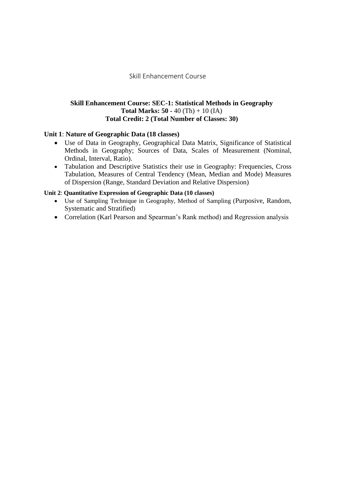## Skill Enhancement Course

## **Skill Enhancement Course: SEC-1: Statistical Methods in Geography Total Marks: 50 -** 40 (Th) + 10 (IA) **Total Credit: 2 (Total Number of Classes: 30)**

### **Unit 1**: **Nature of Geographic Data (18 classes)**

- Use of Data in Geography, Geographical Data Matrix, Significance of Statistical Methods in Geography; Sources of Data, Scales of Measurement (Nominal, Ordinal, Interval, Ratio).
- Tabulation and Descriptive Statistics their use in Geography: Frequencies, Cross Tabulation, Measures of Central Tendency (Mean, Median and Mode) Measures of Dispersion (Range, Standard Deviation and Relative Dispersion)

#### **Unit 2**: **Quantitative Expression of Geographic Data (10 classes)**

- Use of Sampling Technique in Geography, Method of Sampling (Purposive, Random, Systematic and Stratified)
- Correlation (Karl Pearson and Spearman's Rank method) and Regression analysis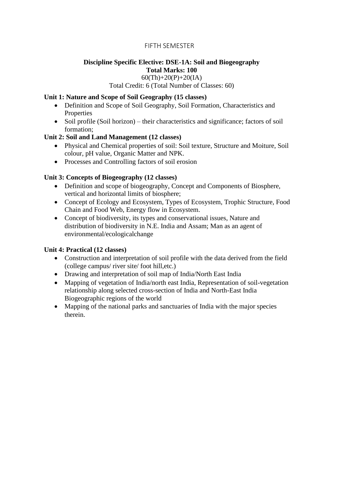## FIFTH SEMESTER

# **Discipline Specific Elective: DSE-1A: Soil and Biogeography Total Marks: 100**

#### $60$ (Th)+20(P)+20(IA)

Total Credit: 6 (Total Number of Classes: 60)

## **Unit 1: Nature and Scope of Soil Geography (15 classes)**

- Definition and Scope of Soil Geography, Soil Formation, Characteristics and Properties
- Soil profile (Soil horizon) their characteristics and significance; factors of soil formation;

## **Unit 2: Soil and Land Management (12 classes)**

- Physical and Chemical properties of soil: Soil texture, Structure and Moiture, Soil colour, pH value, Organic Matter and NPK.
- Processes and Controlling factors of soil erosion

# **Unit 3: Concepts of Biogeography (12 classes)**

- Definition and scope of biogeography, Concept and Components of Biosphere, vertical and horizontal limits of biosphere;
- Concept of Ecology and Ecosystem, Types of Ecosystem, Trophic Structure, Food Chain and Food Web, Energy flow in Ecosystem.
- Concept of biodiversity, its types and conservational issues, Nature and distribution of biodiversity in N.E. India and Assam; Man as an agent of environmental/ecologicalchange

## **Unit 4: Practical (12 classes)**

- Construction and interpretation of soil profile with the data derived from the field (college campus/ river site/ foot hill,etc.)
- Drawing and interpretation of soil map of India/North East India
- Mapping of vegetation of India/north east India, Representation of soil-vegetation relationship along selected cross-section of India and North-East India Biogeographic regions of the world
- Mapping of the national parks and sanctuaries of India with the major species therein.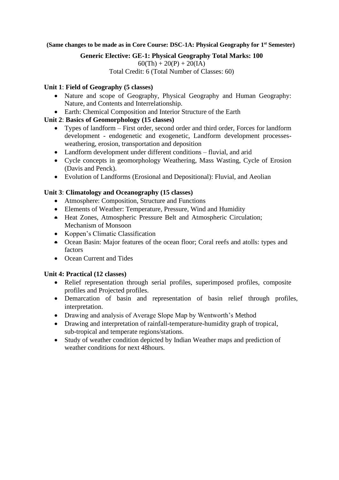**(Same changes to be made as in Core Course: DSC-1A: Physical Geography for 1st Semester)**

**Generic Elective: GE-1: Physical Geography Total Marks: 100**

 $60(Th) + 20(P) + 20(IA)$ 

Total Credit: 6 (Total Number of Classes: 60)

# **Unit 1**: **Field of Geography (5 classes)**

- Nature and scope of Geography, Physical Geography and Human Geography: Nature, and Contents and Interrelationship.
- Earth: Chemical Composition and Interior Structure of the Earth

# **Unit 2**: **Basics of Geomorphology (15 classes)**

- Types of landform First order, second order and third order, Forces for landform development - endogenetic and exogenetic, Landform development processesweathering, erosion, transportation and deposition
- Landform development under different conditions fluvial, and arid
- Cycle concepts in geomorphology Weathering, Mass Wasting, Cycle of Erosion (Davis and Penck).
- Evolution of Landforms (Erosional and Depositional): Fluvial, and Aeolian

# **Unit 3**: **Climatology and Oceanography (15 classes)**

- Atmosphere: Composition, Structure and Functions
- Elements of Weather: Temperature, Pressure, Wind and Humidity
- Heat Zones, Atmospheric Pressure Belt and Atmospheric Circulation; Mechanism of Monsoon
- Koppen's Climatic Classification
- Ocean Basin: Major features of the ocean floor; Coral reefs and atolls: types and factors
- Ocean Current and Tides

# **Unit 4: Practical (12 classes)**

- Relief representation through serial profiles, superimposed profiles, composite profiles and Projected profiles.
- Demarcation of basin and representation of basin relief through profiles, interpretation.
- Drawing and analysis of Average Slope Map by Wentworth's Method
- Drawing and interpretation of rainfall-temperature-humidity graph of tropical, sub-tropical and temperate regions/stations.
- Study of weather condition depicted by Indian Weather maps and prediction of weather conditions for next 48hours.